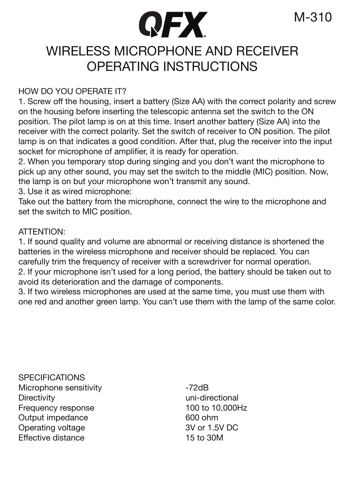## WIRELESS MICROPHONE AND RECEIVER OPERATING INSTRUCTIONS

**QFX** 

#### HOW DO YOU OPERATE IT?

1. Screw off the housing, insert a battery (Size AA) with the correct polarity and screw on the housing before inserting the telescopic antenna set the switch to the ON position. The pilot lamp is on at this time. Insert another battery (Size AA) into the receiver with the correct polarity. Set the switch of receiver to ON position. The pilot lamp is on that indicates a good condition. After that, plug the receiver into the input socket for microphone of amplifier, it is ready for operation.

2. When you temporary stop during singing and you don't want the microphone to pick up any other sound, you may set the switch to the middle (MIC) position. Now, the lamp is on but your microphone won't transmit any sound.

3. Use it as wired microphone:

Take out the battery from the microphone, connect the wire to the microphone and set the switch to MIC position.

#### ATTENTION:

1. If sound quality and volume are abnormal or receiving distance is shortened the batteries in the wireless microphone and receiver should be replaced. You can carefully trim the frequency of receiver with a screwdriver for normal operation. 2. If your microphone isn't used for a long period, the battery should be taken out to avoid its deterioration and the damage of components.

3. If two wireless microphones are used at the same time, you must use them with one red and another green lamp. You can't use them with the lamp of the same color.

**SPECIFICATIONS** Microphone sensitivity -72dB Frequency response 100 to 10<br>
Output impedance 1000 ohm Output impedance Operating voltage 3V or 1.5V DC<br>
Fffective distance 5 15 to 30M **Effective distance** 

uni-directional<br>100 to 10.000Hz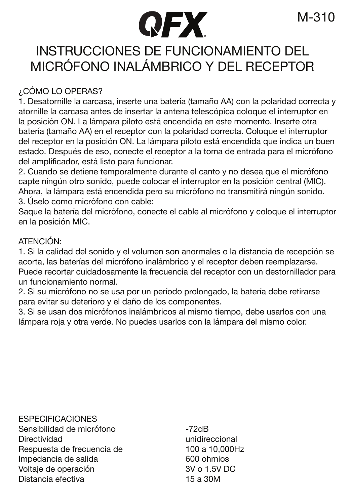# **QFX**

## INSTRUCCIONES DE FUNCIONAMIENTO DEL MICRÓFONO INALÁMBRICO Y DEL RECEPTOR

#### ¿CÓMO LO OPERAS?

1. Desatornille la carcasa, inserte una batería (tamaño AA) con la polaridad correcta y atornille la carcasa antes de insertar la antena telescópica coloque el interruptor en la posición ON. La lámpara piloto está encendida en este momento. Inserte otra batería (tamaño AA) en el receptor con la polaridad correcta. Coloque el interruptor del receptor en la posición ON. La lámpara piloto está encendida que indica un buen estado. Después de eso, conecte el receptor a la toma de entrada para el micrófono del amplificador, está listo para funcionar.

2. Cuando se detiene temporalmente durante el canto y no desea que el micrófono capte ningún otro sonido, puede colocar el interruptor en la posición central (MIC). Ahora, la lámpara está encendida pero su micrófono no transmitirá ningún sonido. 3. Úselo como micrófono con cable:

Saque la batería del micrófono, conecte el cable al micrófono y coloque el interruptor en la posición MIC.

#### ATENCIÓN:

1. Si la calidad del sonido y el volumen son anormales o la distancia de recepción se acorta, las baterías del micrófono inalámbrico y el receptor deben reemplazarse. Puede recortar cuidadosamente la frecuencia del receptor con un destornillador para un funcionamiento normal.

2. Si su micrófono no se usa por un período prolongado, la batería debe retirarse para evitar su deterioro y el daño de los componentes.

3. Si se usan dos micrófonos inalámbricos al mismo tiempo, debe usarlos con una lámpara roja y otra verde. No puedes usarlos con la lámpara del mismo color.

**ESPECIFICACIONES** Sensibilidad de micrófono <sup>-72</sup>dB<br>Directividad Respuesta de frecuencia de Impedancia de salida 600 ohmios Voltaje de operación 3V o 1.5V DC Distancia efectiva

unidireccional<br>100 a 10.000Hz